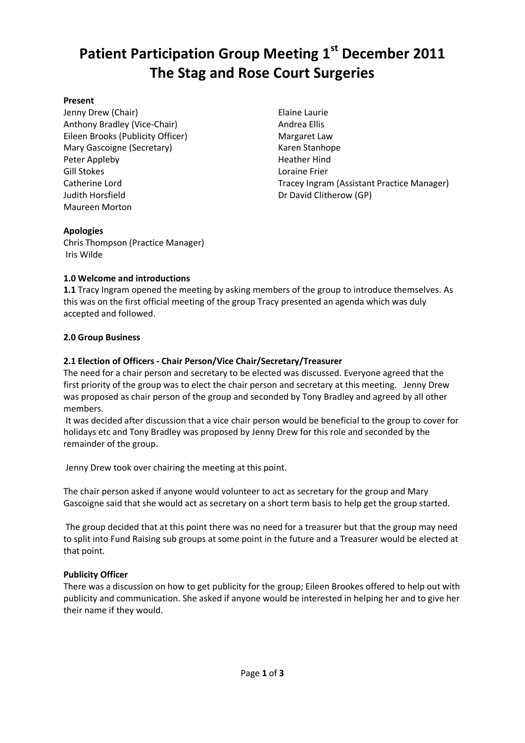# **Patient Participation Group Meeting 1st December 2011 The Stag and Rose Court Surgeries**

## **Present**

Jenny Drew (Chair) Anthony Bradley (Vice-Chair) Eileen Brooks (Publicity Officer) Mary Gascoigne (Secretary) Peter Appleby Gill Stokes Catherine Lord Judith Horsfield Maureen Morton

Elaine Laurie Andrea Ellis Margaret Law Karen Stanhope Heather Hind Loraine Frier Tracey Ingram (Assistant Practice Manager) Dr David Clitherow (GP)

# **Apologies**

Chris Thompson (Practice Manager) Iris Wilde

# **1.0 Welcome and introductions**

**1.1** Tracy Ingram opened the meeting by asking members of the group to introduce themselves. As this was on the first official meeting of the group Tracy presented an agenda which was duly accepted and followed.

# **2.0 Group Business**

# **2.1 Election of Officers - Chair Person/Vice Chair/Secretary/Treasurer**

The need for a chair person and secretary to be elected was discussed. Everyone agreed that the first priority of the group was to elect the chair person and secretary at this meeting. Jenny Drew was proposed as chair person of the group and seconded by Tony Bradley and agreed by all other members.

It was decided after discussion that a vice chair person would be beneficial to the group to cover for holidays etc and Tony Bradley was proposed by Jenny Drew for this role and seconded by the remainder of the group.

Jenny Drew took over chairing the meeting at this point.

The chair person asked if anyone would volunteer to act as secretary for the group and Mary Gascoigne said that she would act as secretary on a short term basis to help get the group started.

The group decided that at this point there was no need for a treasurer but that the group may need to split into Fund Raising sub groups at some point in the future and a Treasurer would be elected at that point.

# **Publicity Officer**

There was a discussion on how to get publicity for the group; Eileen Brookes offered to help out with publicity and communication. She asked if anyone would be interested in helping her and to give her their name if they would.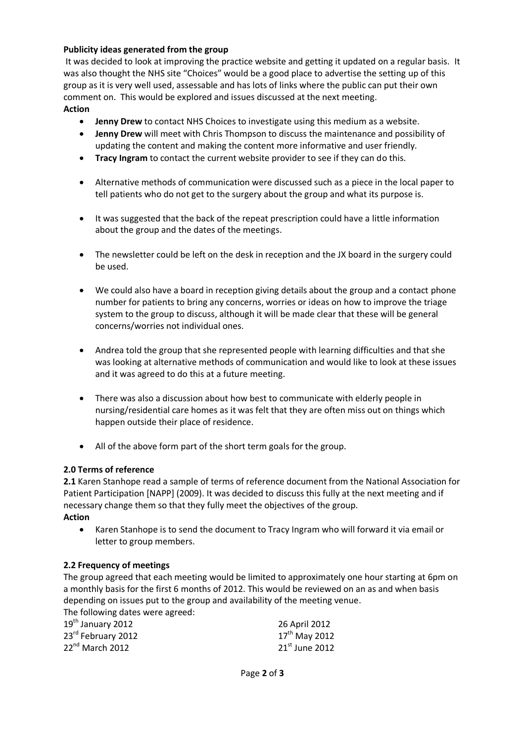# **Publicity ideas generated from the group**

It was decided to look at improving the practice website and getting it updated on a regular basis. It was also thought the NHS site "Choices" would be a good place to advertise the setting up of this group as it is very well used, assessable and has lots of links where the public can put their own comment on. This would be explored and issues discussed at the next meeting. **Action**

- **Jenny Drew** to contact NHS Choices to investigate using this medium as a website.
- **Jenny Drew** will meet with Chris Thompson to discuss the maintenance and possibility of updating the content and making the content more informative and user friendly.
- **Tracy Ingram** to contact the current website provider to see if they can do this.
- Alternative methods of communication were discussed such as a piece in the local paper to tell patients who do not get to the surgery about the group and what its purpose is.
- It was suggested that the back of the repeat prescription could have a little information about the group and the dates of the meetings.
- The newsletter could be left on the desk in reception and the JX board in the surgery could be used.
- We could also have a board in reception giving details about the group and a contact phone number for patients to bring any concerns, worries or ideas on how to improve the triage system to the group to discuss, although it will be made clear that these will be general concerns/worries not individual ones.
- Andrea told the group that she represented people with learning difficulties and that she was looking at alternative methods of communication and would like to look at these issues and it was agreed to do this at a future meeting.
- There was also a discussion about how best to communicate with elderly people in nursing/residential care homes as it was felt that they are often miss out on things which happen outside their place of residence.
- All of the above form part of the short term goals for the group.

## **2.0 Terms of reference**

**2.1** Karen Stanhope read a sample of terms of reference document from the National Association for Patient Participation [NAPP] (2009). It was decided to discuss this fully at the next meeting and if necessary change them so that they fully meet the objectives of the group. **Action**

 Karen Stanhope is to send the document to Tracy Ingram who will forward it via email or letter to group members.

## **2.2 Frequency of meetings**

The group agreed that each meeting would be limited to approximately one hour starting at 6pm on a monthly basis for the first 6 months of 2012. This would be reviewed on an as and when basis depending on issues put to the group and availability of the meeting venue. The following dates were agreed:

| THE TUITUMING GALES WELE ASTEED. |                    |
|----------------------------------|--------------------|
| $19th$ January 2012              | 26 April 2012      |
| 23rd February 2012               | $17^{th}$ May 2012 |
| $22nd$ March 2012                | $21st$ June 2012   |
|                                  |                    |